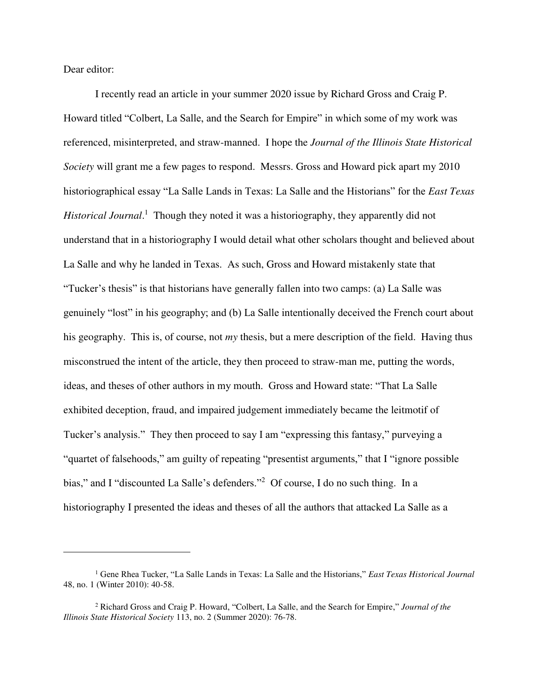Dear editor:

 $\overline{a}$ 

I recently read an article in your summer 2020 issue by Richard Gross and Craig P. Howard titled "Colbert, La Salle, and the Search for Empire" in which some of my work was referenced, misinterpreted, and straw-manned. I hope the *Journal of the Illinois State Historical Society* will grant me a few pages to respond. Messrs. Gross and Howard pick apart my 2010 historiographical essay "La Salle Lands in Texas: La Salle and the Historians" for the *East Texas*  Historical Journal.<sup>1</sup> Though they noted it was a historiography, they apparently did not understand that in a historiography I would detail what other scholars thought and believed about La Salle and why he landed in Texas. As such, Gross and Howard mistakenly state that "Tucker's thesis" is that historians have generally fallen into two camps: (a) La Salle was genuinely "lost" in his geography; and (b) La Salle intentionally deceived the French court about his geography. This is, of course, not *my* thesis, but a mere description of the field. Having thus misconstrued the intent of the article, they then proceed to straw-man me, putting the words, ideas, and theses of other authors in my mouth. Gross and Howard state: "That La Salle exhibited deception, fraud, and impaired judgement immediately became the leitmotif of Tucker's analysis." They then proceed to say I am "expressing this fantasy," purveying a "quartet of falsehoods," am guilty of repeating "presentist arguments," that I "ignore possible bias," and I "discounted La Salle's defenders."<sup>2</sup> Of course, I do no such thing. In a historiography I presented the ideas and theses of all the authors that attacked La Salle as a

<sup>1</sup> Gene Rhea Tucker, "La Salle Lands in Texas: La Salle and the Historians," *East Texas Historical Journal* 48, no. 1 (Winter 2010): 40-58.

<sup>2</sup> Richard Gross and Craig P. Howard, "Colbert, La Salle, and the Search for Empire," *Journal of the Illinois State Historical Society* 113, no. 2 (Summer 2020): 76-78.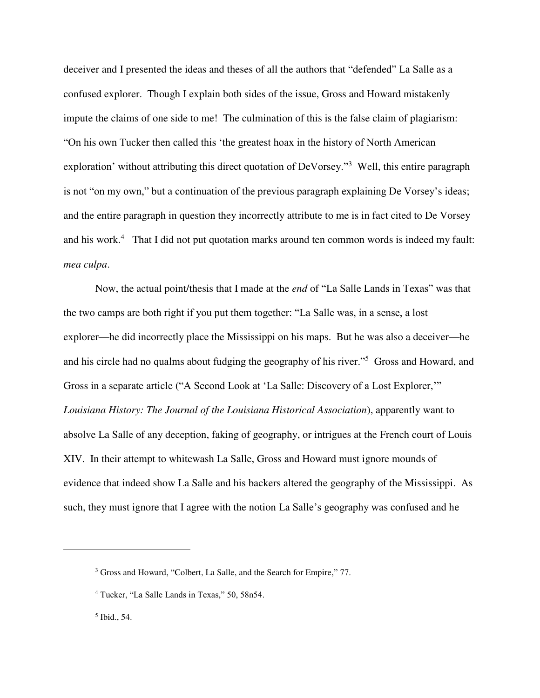deceiver and I presented the ideas and theses of all the authors that "defended" La Salle as a confused explorer. Though I explain both sides of the issue, Gross and Howard mistakenly impute the claims of one side to me! The culmination of this is the false claim of plagiarism: "On his own Tucker then called this 'the greatest hoax in the history of North American exploration' without attributing this direct quotation of DeVorsey."<sup>3</sup> Well, this entire paragraph is not "on my own," but a continuation of the previous paragraph explaining De Vorsey's ideas; and the entire paragraph in question they incorrectly attribute to me is in fact cited to De Vorsey and his work.<sup>4</sup> That I did not put quotation marks around ten common words is indeed my fault: *mea culpa*.

Now, the actual point/thesis that I made at the *end* of "La Salle Lands in Texas" was that the two camps are both right if you put them together: "La Salle was, in a sense, a lost explorer—he did incorrectly place the Mississippi on his maps. But he was also a deceiver—he and his circle had no qualms about fudging the geography of his river."<sup>5</sup> Gross and Howard, and Gross in a separate article ("A Second Look at 'La Salle: Discovery of a Lost Explorer,'" *Louisiana History: The Journal of the Louisiana Historical Association*), apparently want to absolve La Salle of any deception, faking of geography, or intrigues at the French court of Louis XIV. In their attempt to whitewash La Salle, Gross and Howard must ignore mounds of evidence that indeed show La Salle and his backers altered the geography of the Mississippi. As such, they must ignore that I agree with the notion La Salle's geography was confused and he

5 Ibid., 54.

 $\overline{a}$ 

<sup>&</sup>lt;sup>3</sup> Gross and Howard, "Colbert, La Salle, and the Search for Empire," 77.

<sup>4</sup> Tucker, "La Salle Lands in Texas," 50, 58n54.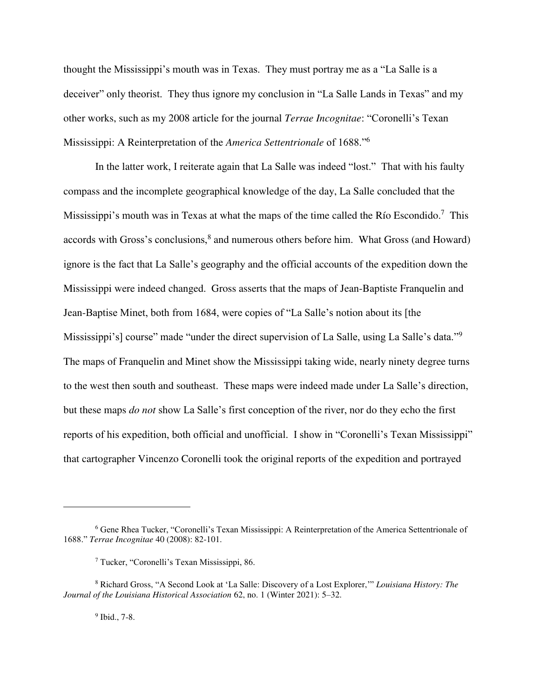thought the Mississippi's mouth was in Texas. They must portray me as a "La Salle is a deceiver" only theorist. They thus ignore my conclusion in "La Salle Lands in Texas" and my other works, such as my 2008 article for the journal *Terrae Incognitae*: "Coronelli's Texan Mississippi: A Reinterpretation of the *America Settentrionale* of 1688."<sup>6</sup>

In the latter work, I reiterate again that La Salle was indeed "lost." That with his faulty compass and the incomplete geographical knowledge of the day, La Salle concluded that the Mississippi's mouth was in Texas at what the maps of the time called the Río Escondido.<sup>7</sup> This accords with Gross's conclusions,<sup>8</sup> and numerous others before him. What Gross (and Howard) ignore is the fact that La Salle's geography and the official accounts of the expedition down the Mississippi were indeed changed. Gross asserts that the maps of Jean-Baptiste Franquelin and Jean-Baptise Minet, both from 1684, were copies of "La Salle's notion about its [the Mississippi's] course" made "under the direct supervision of La Salle, using La Salle's data."<sup>9</sup> The maps of Franquelin and Minet show the Mississippi taking wide, nearly ninety degree turns to the west then south and southeast. These maps were indeed made under La Salle's direction, but these maps *do not* show La Salle's first conception of the river, nor do they echo the first reports of his expedition, both official and unofficial. I show in "Coronelli's Texan Mississippi" that cartographer Vincenzo Coronelli took the original reports of the expedition and portrayed

9 Ibid., 7-8.

 $\overline{a}$ 

<sup>6</sup> Gene Rhea Tucker, "Coronelli's Texan Mississippi: A Reinterpretation of the America Settentrionale of 1688." *Terrae Incognitae* 40 (2008): 82-101.

<sup>7</sup> Tucker, "Coronelli's Texan Mississippi, 86.

<sup>8</sup> Richard Gross, "A Second Look at 'La Salle: Discovery of a Lost Explorer,'" *Louisiana History: The Journal of the Louisiana Historical Association* 62, no. 1 (Winter 2021): 5–32.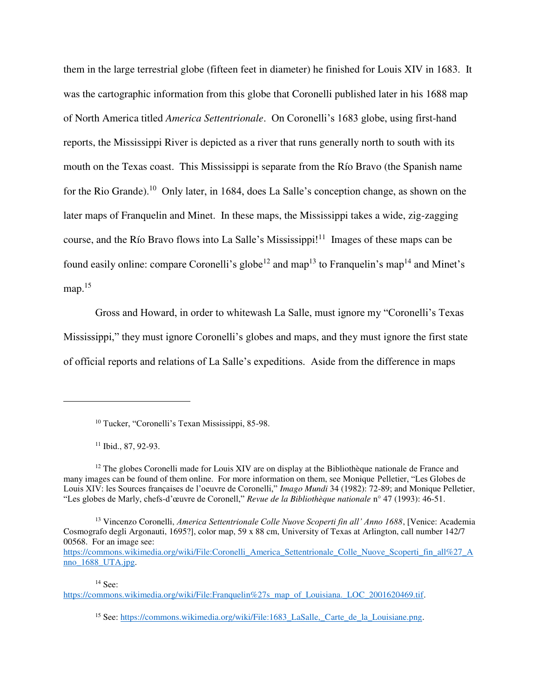them in the large terrestrial globe (fifteen feet in diameter) he finished for Louis XIV in 1683. It was the cartographic information from this globe that Coronelli published later in his 1688 map of North America titled *America Settentrionale*. On Coronelli's 1683 globe, using first-hand reports, the Mississippi River is depicted as a river that runs generally north to south with its mouth on the Texas coast. This Mississippi is separate from the Río Bravo (the Spanish name for the Rio Grande).<sup>10</sup> Only later, in 1684, does La Salle's conception change, as shown on the later maps of Franquelin and Minet. In these maps, the Mississippi takes a wide, zig-zagging course, and the Río Bravo flows into La Salle's Mississippi!<sup>11</sup> Images of these maps can be found easily online: compare Coronelli's globe<sup>12</sup> and map<sup>13</sup> to Franquelin's map<sup>14</sup> and Minet's map.<sup>15</sup>

Gross and Howard, in order to whitewash La Salle, must ignore my "Coronelli's Texas Mississippi," they must ignore Coronelli's globes and maps, and they must ignore the first state of official reports and relations of La Salle's expeditions. Aside from the difference in maps

 $\overline{a}$ 

 $14$  See:

<sup>10</sup> Tucker, "Coronelli's Texan Mississippi, 85-98.

<sup>11</sup> Ibid., 87, 92-93.

 $12$  The globes Coronelli made for Louis XIV are on display at the Bibliothèque nationale de France and many images can be found of them online. For more information on them, see Monique Pelletier, "Les Globes de Louis XIV: les Sources françaises de l'oeuvre de Coronelli," *Imago Mundi* 34 (1982): 72-89; and Monique Pelletier, "Les globes de Marly, chefs-d'œuvre de Coronell," *Revue de la Bibliothèque nationale* n° 47 (1993): 46-51.

<sup>13</sup> Vincenzo Coronelli, *America Settentrionale Colle Nuove Scoperti fin all' Anno 1688*, [Venice: Academia Cosmografo degli Argonauti, 1695?], color map, 59 x 88 cm, University of Texas at Arlington, call number 142/7 00568. For an image see:

https://commons.wikimedia.org/wiki/File:Coronelli\_America\_Settentrionale\_Colle\_Nuove\_Scoperti\_fin\_all%27\_A nno 1688 UTA.jpg.

https://commons.wikimedia.org/wiki/File:Franquelin%27s\_map\_of\_Louisiana.\_LOC\_2001620469.tif.

<sup>&</sup>lt;sup>15</sup> See: https://commons.wikimedia.org/wiki/File:1683\_LaSalle,\_Carte\_de\_la\_Louisiane.png.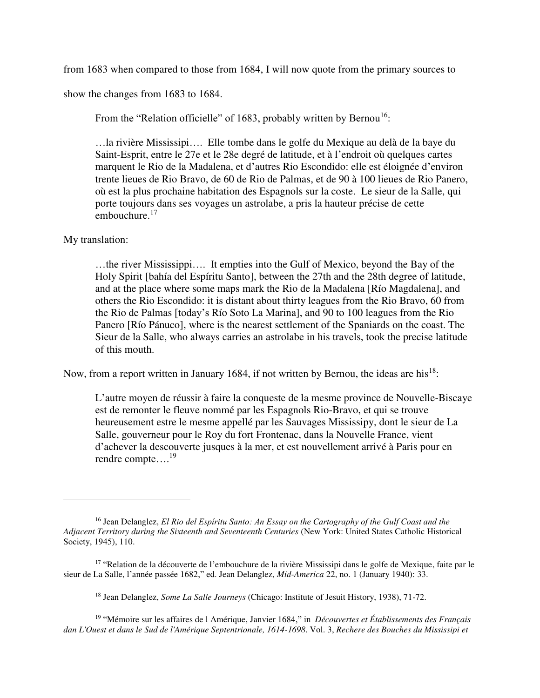from 1683 when compared to those from 1684, I will now quote from the primary sources to

show the changes from 1683 to 1684.

From the "Relation officielle" of 1683, probably written by Bernou<sup>16</sup>:

…la rivière Mississipi…. Elle tombe dans le golfe du Mexique au delà de la baye du Saint-Esprit, entre le 27e et le 28e degré de latitude, et à l'endroit où quelques cartes marquent le Rio de la Madalena, et d'autres Rio Escondido: elle est éloignée d'environ trente lieues de Rio Bravo, de 60 de Rio de Palmas, et de 90 à 100 lieues de Rio Panero, où est la plus prochaine habitation des Espagnols sur la coste. Le sieur de la Salle, qui porte toujours dans ses voyages un astrolabe, a pris la hauteur précise de cette embouchure.<sup>17</sup>

## My translation:

 $\overline{a}$ 

…the river Mississippi…. It empties into the Gulf of Mexico, beyond the Bay of the Holy Spirit [bahía del Espíritu Santo], between the 27th and the 28th degree of latitude, and at the place where some maps mark the Rio de la Madalena [Río Magdalena], and others the Rio Escondido: it is distant about thirty leagues from the Rio Bravo, 60 from the Rio de Palmas [today's Río Soto La Marina], and 90 to 100 leagues from the Rio Panero [Río Pánuco], where is the nearest settlement of the Spaniards on the coast. The Sieur de la Salle, who always carries an astrolabe in his travels, took the precise latitude of this mouth.

Now, from a report written in January 1684, if not written by Bernou, the ideas are his<sup>18</sup>:

L'autre moyen de réussir à faire la conqueste de la mesme province de Nouvelle-Biscaye est de remonter le fleuve nommé par les Espagnols Rio-Bravo, et qui se trouve heureusement estre le mesme appellé par les Sauvages Mississipy, dont le sieur de La Salle, gouverneur pour le Roy du fort Frontenac, dans la Nouvelle France, vient d'achever la descouverte jusques à la mer, et est nouvellement arrivé à Paris pour en rendre compte…. 19

<sup>16</sup> Jean Delanglez, *El Rio del Espíritu Santo: An Essay on the Cartography of the Gulf Coast and the Adjacent Territory during the Sixteenth and Seventeenth Centuries* (New York: United States Catholic Historical Society, 1945), 110.

<sup>&</sup>lt;sup>17</sup> "Relation de la découverte de l'embouchure de la rivière Mississipi dans le golfe de Mexique, faite par le sieur de La Salle, l'année passée 1682," ed. Jean Delanglez, *Mid-America* 22, no. 1 (January 1940): 33.

<sup>18</sup> Jean Delanglez, *Some La Salle Journeys* (Chicago: Institute of Jesuit History, 1938), 71-72.

<sup>19</sup> "Mémoire sur les affaires de l Amérique, Janvier 1684," in *Découvertes et Établissements des Français dan L'Ouest et dans le Sud de l'Amérique Septentrionale, 1614-1698*. Vol. 3, *Rechere des Bouches du Mississipi et*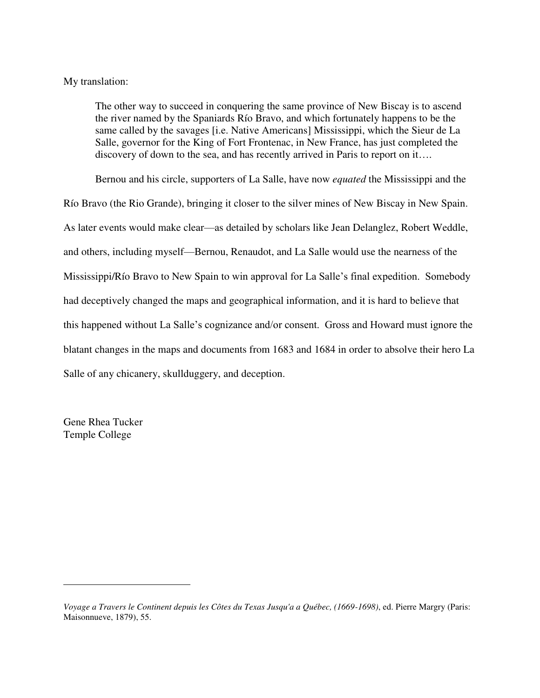## My translation:

The other way to succeed in conquering the same province of New Biscay is to ascend the river named by the Spaniards Río Bravo, and which fortunately happens to be the same called by the savages [i.e. Native Americans] Mississippi, which the Sieur de La Salle, governor for the King of Fort Frontenac, in New France, has just completed the discovery of down to the sea, and has recently arrived in Paris to report on it….

Bernou and his circle, supporters of La Salle, have now *equated* the Mississippi and the Río Bravo (the Rio Grande), bringing it closer to the silver mines of New Biscay in New Spain. As later events would make clear—as detailed by scholars like Jean Delanglez, Robert Weddle, and others, including myself—Bernou, Renaudot, and La Salle would use the nearness of the Mississippi/Río Bravo to New Spain to win approval for La Salle's final expedition. Somebody had deceptively changed the maps and geographical information, and it is hard to believe that this happened without La Salle's cognizance and/or consent. Gross and Howard must ignore the blatant changes in the maps and documents from 1683 and 1684 in order to absolve their hero La Salle of any chicanery, skullduggery, and deception.

Gene Rhea Tucker Temple College

 $\overline{a}$ 

*Voyage a Travers le Continent depuis les Côtes du Texas Jusqu'a a Québec, (1669-1698)*, ed. Pierre Margry (Paris: Maisonnueve, 1879), 55.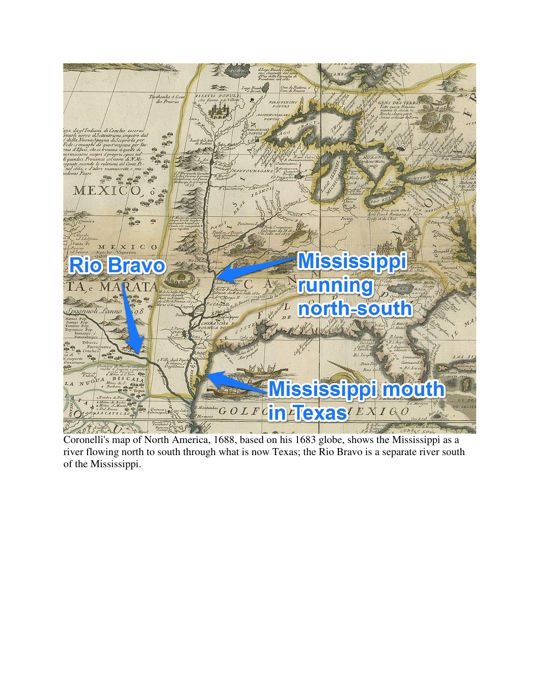

Coronelli's map of North America, 1688, based on his 1683 globe, shows the Mississippi as a river flowing north to south through what is now Texas; the Rio Bravo is a separate river south of the Mississippi.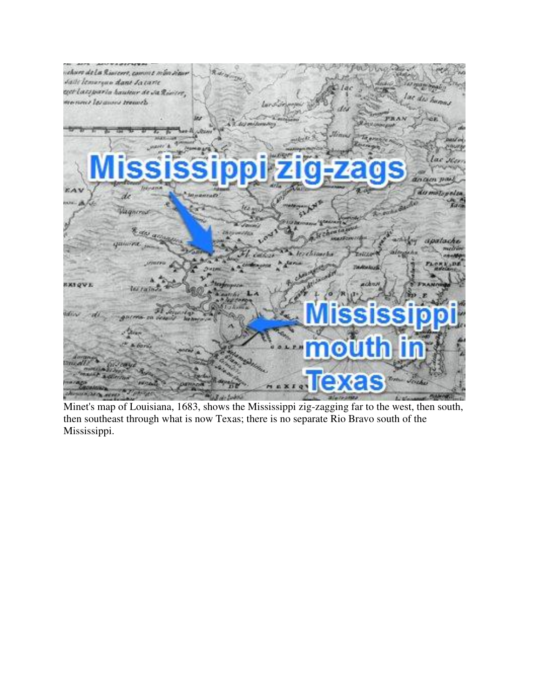| celore de la Riacert, comme mon sigur |                       |                                 | otati.        |
|---------------------------------------|-----------------------|---------------------------------|---------------|
| Salle lemorque dant la tarte          |                       | 1ac                             | 47 miles beau |
| eget lacsparla hauteur de Ja Rivier,  |                       |                                 | lac dis hamas |
| Menned les anno treasch               | Lar S. Srippop        | des                             |               |
|                                       | A. R. def millensing  |                                 |               |
|                                       | Library               | <b>CASTILIAN FRAME</b><br>Minny |               |
|                                       |                       |                                 | NGUNS         |
|                                       |                       |                                 |               |
|                                       |                       |                                 | lac Ken       |
|                                       |                       | ississippi zig-zags             | an am paul    |
| Information<br><b>EAV</b>             |                       |                                 | du motopelsa  |
|                                       | <b>Journal Co</b>     |                                 |               |
| Wagnerout                             | <b>CAN</b>            |                                 |               |
|                                       | January               | <b>LO Monager Station</b>       |               |
| <b>Rate accuse</b>                    | <b>Chicago della</b>  | <b>ALCOHOL: NO</b>              |               |
| quince in-                            |                       |                                 | apalache      |
|                                       | <b>CASS</b>           | <b>Icresiantha</b><br>ENGLE     |               |
|                                       |                       | <b>Review August</b>            |               |
| <b>BXIQVI.</b>                        | <b>Ragarouver</b>     | anders N                        |               |
| <b>Window</b>                         |                       |                                 |               |
|                                       |                       |                                 |               |
| <b>BOLIVIA-DR PERSON</b>              | <b>No hearing car</b> | <b>ISSISSI</b>                  |               |
|                                       |                       |                                 |               |
|                                       |                       |                                 |               |
| A DOTEL                               |                       | <b>mouth</b>                    |               |
| <b>BOYDINAN</b>                       |                       |                                 |               |
|                                       |                       |                                 |               |
|                                       |                       | rexas<br><b>MAXIQY</b>          |               |
| and watch                             |                       |                                 |               |

Minet's map of Louisiana, 1683, shows the Mississippi zig-zagging far to the west, then south, then southeast through what is now Texas; there is no separate Rio Bravo south of the Mississippi.